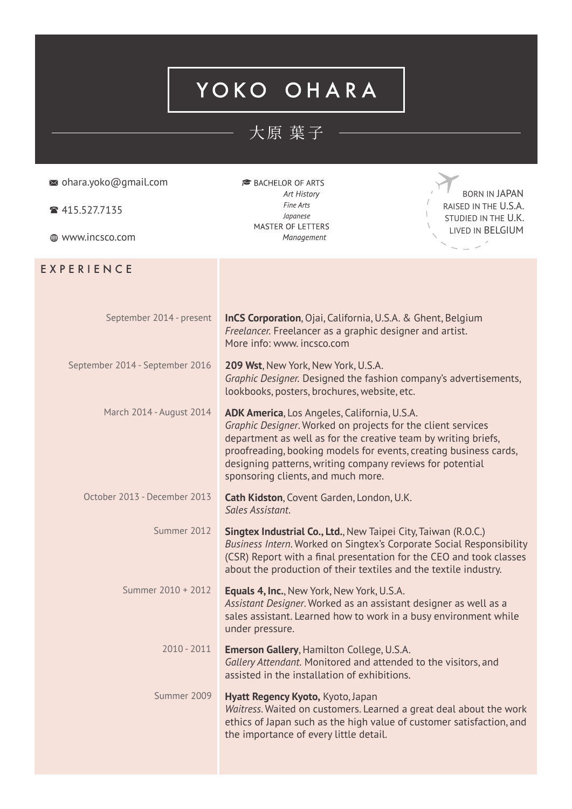## YOKO OHARA

## 大原 葉子 —

| $\approx$ ohara.yoko@gmail.com<br>☎ 415.527.7135<br>⊕ www.incsco.com | <b>BACHELOR OF ARTS</b><br>Art History<br>Fine Arts<br>Japanese<br>MASTER OF LETTERS<br>Management                                                                                                                                                                                                                                                     | <b>BORN IN JAPAN</b><br>RAISED IN THE U.S.A.<br>STUDIED IN THE U.K.<br>LIVED IN BELGIUM |
|----------------------------------------------------------------------|--------------------------------------------------------------------------------------------------------------------------------------------------------------------------------------------------------------------------------------------------------------------------------------------------------------------------------------------------------|-----------------------------------------------------------------------------------------|
| EXPERIENCE                                                           |                                                                                                                                                                                                                                                                                                                                                        |                                                                                         |
| September 2014 - present                                             | <b>InCS Corporation</b> , Ojai, California, U.S.A. & Ghent, Belgium<br>Freelancer. Freelancer as a graphic designer and artist.<br>More info: www. incsco.com                                                                                                                                                                                          |                                                                                         |
| September 2014 - September 2016                                      | 209 Wst, New York, New York, U.S.A.<br>Graphic Designer. Designed the fashion company's advertisements,<br>lookbooks, posters, brochures, website, etc.                                                                                                                                                                                                |                                                                                         |
| March 2014 - August 2014                                             | ADK America, Los Angeles, California, U.S.A.<br>Graphic Designer. Worked on projects for the client services<br>department as well as for the creative team by writing briefs,<br>proofreading, booking models for events, creating business cards,<br>designing patterns, writing company reviews for potential<br>sponsoring clients, and much more. |                                                                                         |
| October 2013 - December 2013                                         | Cath Kidston, Covent Garden, London, U.K.<br>Sales Assistant.                                                                                                                                                                                                                                                                                          |                                                                                         |
| Summer 2012                                                          | <b>Singtex Industrial Co., Ltd., New Taipei City, Taiwan (R.O.C.)</b><br>Business Intern. Worked on Singtex's Corporate Social Responsibility<br>(CSR) Report with a final presentation for the CEO and took classes<br>about the production of their textiles and the textile industry.                                                               |                                                                                         |
| Summer 2010 + 2012                                                   | <b>Equals 4, Inc., New York, New York, U.S.A.</b><br>Assistant Designer. Worked as an assistant designer as well as a<br>sales assistant. Learned how to work in a busy environment while<br>under pressure.                                                                                                                                           |                                                                                         |
| $2010 - 2011$                                                        | <b>Emerson Gallery, Hamilton College, U.S.A.</b><br>Gallery Attendant. Monitored and attended to the visitors, and<br>assisted in the installation of exhibitions.                                                                                                                                                                                     |                                                                                         |
| Summer 2009                                                          | Hyatt Regency Kyoto, Kyoto, Japan<br>Waitress. Waited on customers. Learned a great deal about the work<br>ethics of Japan such as the high value of customer satisfaction, and<br>the importance of every little detail.                                                                                                                              |                                                                                         |